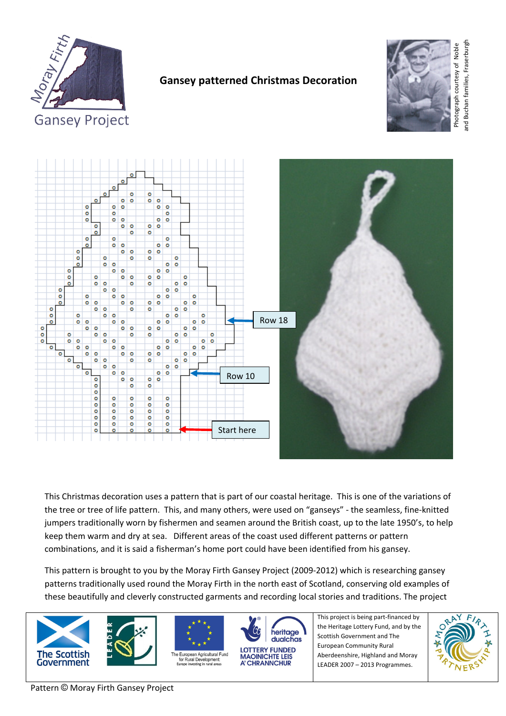

# **Gansey patterned Christmas Decoration**



**Gansey Project** 



This Christmas decoration uses a pattern that is part of our coastal heritage. This is one of the variations of the tree or tree of life pattern. This, and many others, were used on "ganseys" ‐ the seamless, fine‐knitted jumpers traditionally worn by fishermen and seamen around the British coast, up to the late 1950's, to help keep them warm and dry at sea. Different areas of the coast used different patterns or pattern combinations, and it is said a fisherman's home port could have been identified from his gansey.

This pattern is brought to you by the Moray Firth Gansey Project (2009‐2012) which is researching gansey patterns traditionally used round the Moray Firth in the north east of Scotland, conserving old examples of these beautifully and cleverly constructed garments and recording local stories and traditions. The project









**MAOINICHTE LEIS** A' CHRANNCHUR



This project is being part‐financed by the Heritage Lottery Fund, and by the Scottish Government and The European Community Rural Aberdeenshire, Highland and Moray LEADER 2007 – 2013 Programmes.

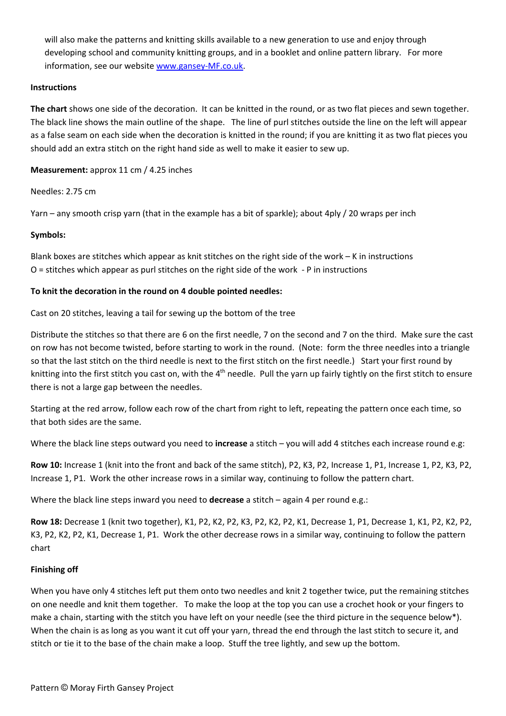will also make the patterns and knitting skills available to a new generation to use and enjoy through developing school and community knitting groups, and in a booklet and online pattern library. For more information, see our website [www.gansey](http://www.gansey-mf.co.uk/)-MF.co.uk.

#### **Instructions**

**The chart** shows one side of the decoration. It can be knitted in the round, or as two flat pieces and sewn together. The black line shows the main outline of the shape. The line of purl stitches outside the line on the left will appear as a false seam on each side when the decoration is knitted in the round; if you are knitting it as two flat pieces you should add an extra stitch on the right hand side as well to make it easier to sew up.

**Measurement:** approx 11 cm / 4.25 inches

Needles: 2.75 cm

Yarn – any smooth crisp yarn (that in the example has a bit of sparkle); about 4ply / 20 wraps per inch

## **Symbols:**

Blank boxes are stitches which appear as knit stitches on the right side of the work – K in instructions O = stitches which appear as purl stitches on the right side of the work ‐ P in instructions

## **To knit the decoration in the round on 4 double pointed needles:**

Cast on 20 stitches, leaving a tail for sewing up the bottom of the tree

Distribute the stitches so that there are 6 on the first needle, 7 on the second and 7 on the third. Make sure the cast on row has not become twisted, before starting to work in the round. (Note: form the three needles into a triangle so that the last stitch on the third needle is next to the first stitch on the first needle.) Start your first round by knitting into the first stitch you cast on, with the  $4<sup>th</sup>$  needle. Pull the yarn up fairly tightly on the first stitch to ensure there is not a large gap between the needles.

Starting at the red arrow, follow each row of the chart from right to left, repeating the pattern once each time, so that both sides are the same.

Where the black line steps outward you need to **increase** a stitch – you will add 4 stitches each increase round e.g:

**Row 10:** Increase 1 (knit into the front and back of the same stitch), P2, K3, P2, Increase 1, P1, Increase 1, P2, K3, P2, Increase 1, P1. Work the other increase rows in a similar way, continuing to follow the pattern chart.

Where the black line steps inward you need to **decrease** a stitch – again 4 per round e.g.:

**Row 18:** Decrease 1 (knit two together), K1, P2, K2, P2, K3, P2, K2, P2, K1, Decrease 1, P1, Decrease 1, K1, P2, K2, P2, K3, P2, K2, P2, K1, Decrease 1, P1. Work the other decrease rows in a similar way, continuing to follow the pattern chart

#### **Finishing off**

When you have only 4 stitches left put them onto two needles and knit 2 together twice, put the remaining stitches on one needle and knit them together. To make the loop at the top you can use a crochet hook or your fingers to make a chain, starting with the stitch you have left on your needle (see the third picture in the sequence below\*). When the chain is as long as you want it cut off your yarn, thread the end through the last stitch to secure it, and stitch or tie it to the base of the chain make a loop. Stuff the tree lightly, and sew up the bottom.